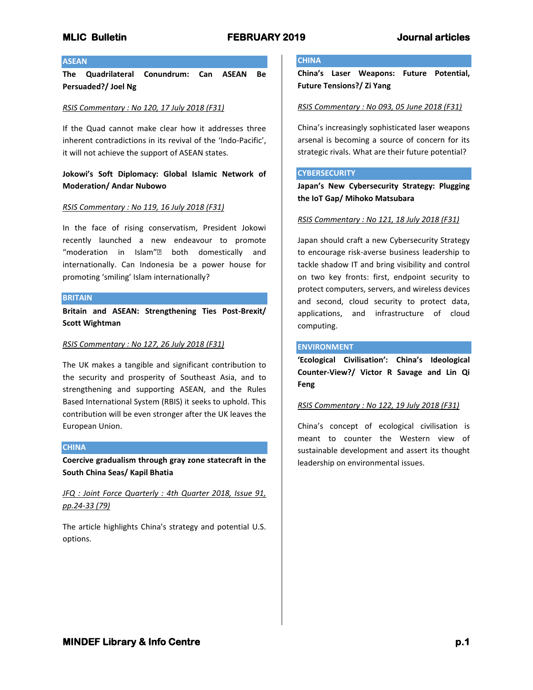# **MLIC Bulletin FEBRUARY 2019 Journal articles**

## **ASEAN**

**The Quadrilateral Conundrum: Can ASEAN Be Persuaded?/ Joel Ng**

## *RSIS Commentary : No 120, 17 July 2018 (F31)*

If the Quad cannot make clear how it addresses three inherent contradictions in its revival of the 'Indo-Pacific', it will not achieve the support of ASEAN states.

# **Jokowi's Soft Diplomacy: Global Islamic Network of Moderation/ Andar Nubowo**

## *RSIS Commentary : No 119, 16 July 2018 (F31)*

In the face of rising conservatism, President Jokowi recently launched a new endeavour to promote "moderation in Islam"• both domestically and internationally. Can Indonesia be a power house for promoting 'smiling' Islam internationally?

## **BRITAIN**

**Britain and ASEAN: Strengthening Ties Post-Brexit/ Scott Wightman**

## *RSIS Commentary : No 127, 26 July 2018 (F31)*

The UK makes a tangible and significant contribution to the security and prosperity of Southeast Asia, and to strengthening and supporting ASEAN, and the Rules Based International System (RBIS) it seeks to uphold. This contribution will be even stronger after the UK leaves the European Union.

## **CHINA**

**Coercive gradualism through gray zone statecraft in the South China Seas/ Kapil Bhatia**

*JFQ : Joint Force Quarterly : 4th Quarter 2018, Issue 91, pp.24-33 (79)*

The article highlights China's strategy and potential U.S. options.

## **CHINA**

**China's Laser Weapons: Future Potential, Future Tensions?/ Zi Yang**

## *RSIS Commentary : No 093, 05 June 2018 (F31)*

China's increasingly sophisticated laser weapons arsenal is becoming a source of concern for its strategic rivals. What are their future potential?

## **CYBERSECURITY**

**Japan's New Cybersecurity Strategy: Plugging the IoT Gap/ Mihoko Matsubara**

## *RSIS Commentary : No 121, 18 July 2018 (F31)*

Japan should craft a new Cybersecurity Strategy to encourage risk-averse business leadership to tackle shadow IT and bring visibility and control on two key fronts: first, endpoint security to protect computers, servers, and wireless devices and second, cloud security to protect data, applications, and infrastructure of cloud computing.

## **ENVIRONMENT**

**'Ecological Civilisation': China's Ideological Counter-View?/ Victor R Savage and Lin Qi Feng**

## *RSIS Commentary : No 122, 19 July 2018 (F31)*

China's concept of ecological civilisation is meant to counter the Western view of sustainable development and assert its thought leadership on environmental issues.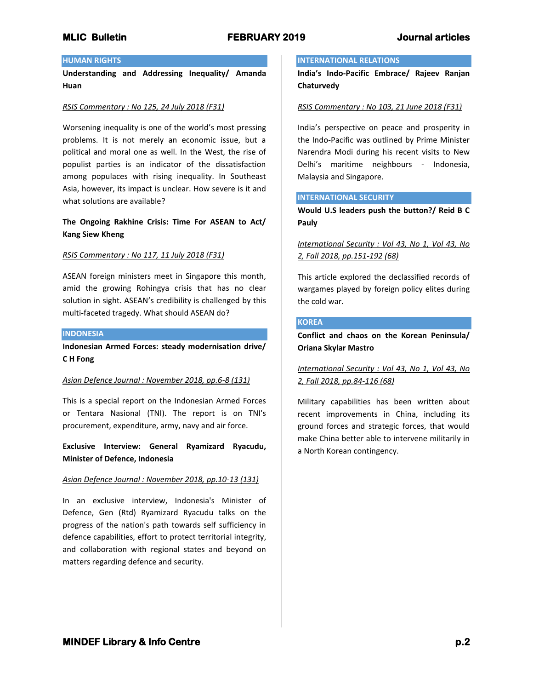# **MLIC Bulletin FEBRUARY 2019 Journal articles**

# **HUMAN RIGHTS**

**Understanding and Addressing Inequality/ Amanda Huan**

## *RSIS Commentary : No 125, 24 July 2018 (F31)*

Worsening inequality is one of the world's most pressing problems. It is not merely an economic issue, but a political and moral one as well. In the West, the rise of populist parties is an indicator of the dissatisfaction among populaces with rising inequality. In Southeast Asia, however, its impact is unclear. How severe is it and what solutions are available?

# **The Ongoing Rakhine Crisis: Time For ASEAN to Act/ Kang Siew Kheng**

## *RSIS Commentary : No 117, 11 July 2018 (F31)*

ASEAN foreign ministers meet in Singapore this month, amid the growing Rohingya crisis that has no clear solution in sight. ASEAN's credibility is challenged by this multi-faceted tragedy. What should ASEAN do?

#### **INDONESIA**

**Indonesian Armed Forces: steady modernisation drive/ C H Fong**

## *Asian Defence Journal : November 2018, pp.6-8 (131)*

This is a special report on the Indonesian Armed Forces or Tentara Nasional (TNI). The report is on TNI's procurement, expenditure, army, navy and air force.

**Exclusive Interview: General Ryamizard Ryacudu, Minister of Defence, Indonesia**

## *Asian Defence Journal : November 2018, pp.10-13 (131)*

In an exclusive interview, Indonesia's Minister of Defence, Gen (Rtd) Ryamizard Ryacudu talks on the progress of the nation's path towards self sufficiency in defence capabilities, effort to protect territorial integrity, and collaboration with regional states and beyond on matters regarding defence and security.

## **INTERNATIONAL RELATIONS**

**India's Indo-Pacific Embrace/ Rajeev Ranjan Chaturvedy**

## *RSIS Commentary : No 103, 21 June 2018 (F31)*

India's perspective on peace and prosperity in the Indo-Pacific was outlined by Prime Minister Narendra Modi during his recent visits to New Delhi's maritime neighbours - Indonesia, Malaysia and Singapore.

## **INTERNATIONAL SECURITY**

**Would U.S leaders push the button?/ Reid B C Pauly**

# *International Security : Vol 43, No 1, Vol 43, No 2, Fall 2018, pp.151-192 (68)*

This article explored the declassified records of wargames played by foreign policy elites during the cold war.

# **KOREA**

**Conflict and chaos on the Korean Peninsula/ Oriana Skylar Mastro**

# *International Security : Vol 43, No 1, Vol 43, No 2, Fall 2018, pp.84-116 (68)*

Military capabilities has been written about recent improvements in China, including its ground forces and strategic forces, that would make China better able to intervene militarily in a North Korean contingency.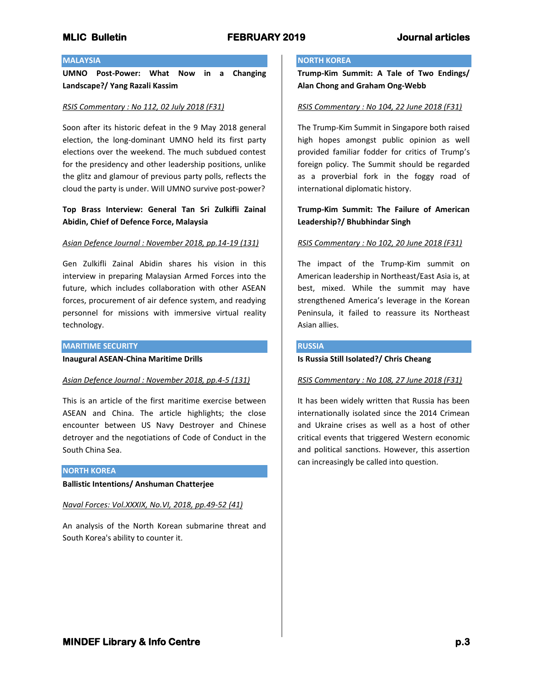# **MLIC Bulletin FEBRUARY 2019 Journal articles**

## **MALAYSIA**

**UMNO Post-Power: What Now in a Changing Landscape?/ Yang Razali Kassim**

#### *RSIS Commentary : No 112, 02 July 2018 (F31)*

Soon after its historic defeat in the 9 May 2018 general election, the long-dominant UMNO held its first party elections over the weekend. The much subdued contest for the presidency and other leadership positions, unlike the glitz and glamour of previous party polls, reflects the cloud the party is under. Will UMNO survive post-power?

# **Top Brass Interview: General Tan Sri Zulkifli Zainal Abidin, Chief of Defence Force, Malaysia**

## *Asian Defence Journal : November 2018, pp.14-19 (131)*

Gen Zulkifli Zainal Abidin shares his vision in this interview in preparing Malaysian Armed Forces into the future, which includes collaboration with other ASEAN forces, procurement of air defence system, and readying personnel for missions with immersive virtual reality technology.

## **MARITIME SECURITY**

**Inaugural ASEAN-China Maritime Drills**

## *Asian Defence Journal : November 2018, pp.4-5 (131)*

This is an article of the first maritime exercise between ASEAN and China. The article highlights; the close encounter between US Navy Destroyer and Chinese detroyer and the negotiations of Code of Conduct in the South China Sea.

## **NORTH KOREA**

**Ballistic Intentions/ Anshuman Chatterjee**

*Naval Forces: Vol.XXXIX, No.VI, 2018, pp.49-52 (41)*

An analysis of the North Korean submarine threat and South Korea's ability to counter it.

## **NORTH KOREA**

**Trump-Kim Summit: A Tale of Two Endings/ Alan Chong and Graham Ong-Webb**

## *RSIS Commentary : No 104, 22 June 2018 (F31)*

The Trump-Kim Summit in Singapore both raised high hopes amongst public opinion as well provided familiar fodder for critics of Trump's foreign policy. The Summit should be regarded as a proverbial fork in the foggy road of international diplomatic history.

# **Trump-Kim Summit: The Failure of American Leadership?/ Bhubhindar Singh**

## *RSIS Commentary : No 102, 20 June 2018 (F31)*

The impact of the Trump-Kim summit on American leadership in Northeast/East Asia is, at best, mixed. While the summit may have strengthened America's leverage in the Korean Peninsula, it failed to reassure its Northeast Asian allies.

## **RUSSIA**

## **Is Russia Still Isolated?/ Chris Cheang**

## *RSIS Commentary : No 108, 27 June 2018 (F31)*

It has been widely written that Russia has been internationally isolated since the 2014 Crimean and Ukraine crises as well as a host of other critical events that triggered Western economic and political sanctions. However, this assertion can increasingly be called into question.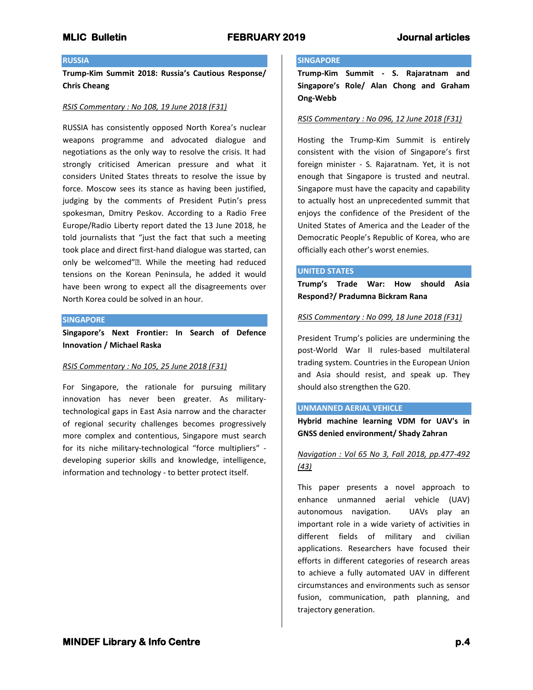## **RUSSIA**

**Trump-Kim Summit 2018: Russia's Cautious Response/ Chris Cheang**

#### *RSIS Commentary : No 108, 19 June 2018 (F31)*

RUSSIA has consistently opposed North Korea's nuclear weapons programme and advocated dialogue and negotiations as the only way to resolve the crisis. It had strongly criticised American pressure and what it considers United States threats to resolve the issue by force. Moscow sees its stance as having been justified, judging by the comments of President Putin's press spokesman, Dmitry Peskov. According to a Radio Free Europe/Radio Liberty report dated the 13 June 2018, he told journalists that "just the fact that such a meeting took place and direct first-hand dialogue was started, can only be welcomed"•. While the meeting had reduced tensions on the Korean Peninsula, he added it would have been wrong to expect all the disagreements over North Korea could be solved in an hour.

#### **SINGAPORE**

**Singapore's Next Frontier: In Search of Defence Innovation / Michael Raska**

## *RSIS Commentary : No 105, 25 June 2018 (F31)*

For Singapore, the rationale for pursuing military innovation has never been greater. As militarytechnological gaps in East Asia narrow and the character of regional security challenges becomes progressively more complex and contentious, Singapore must search for its niche military-technological "force multipliers" developing superior skills and knowledge, intelligence, information and technology - to better protect itself.

## **SINGAPORE**

**Trump-Kim Summit - S. Rajaratnam and Singapore's Role/ Alan Chong and Graham Ong-Webb**

## *RSIS Commentary : No 096, 12 June 2018 (F31)*

Hosting the Trump-Kim Summit is entirely consistent with the vision of Singapore's first foreign minister - S. Rajaratnam. Yet, it is not enough that Singapore is trusted and neutral. Singapore must have the capacity and capability to actually host an unprecedented summit that enjoys the confidence of the President of the United States of America and the Leader of the Democratic People's Republic of Korea, who are officially each other's worst enemies.

## **UNITED STATES**

**Trump's Trade War: How should Asia Respond?/ Pradumna Bickram Rana**

## *RSIS Commentary : No 099, 18 June 2018 (F31)*

President Trump's policies are undermining the post-World War II rules-based multilateral trading system. Countries in the European Union and Asia should resist, and speak up. They should also strengthen the G20.

## **UNMANNED AERIAL VEHICLE**

**Hybrid machine learning VDM for UAV's in GNSS denied environment/ Shady Zahran**

# *Navigation : Vol 65 No 3, Fall 2018, pp.477-492 (43)*

This paper presents a novel approach to enhance unmanned aerial vehicle (UAV) autonomous navigation. UAVs play an important role in a wide variety of activities in different fields of military and civilian applications. Researchers have focused their efforts in different categories of research areas to achieve a fully automated UAV in different circumstances and environments such as sensor fusion, communication, path planning, and trajectory generation.